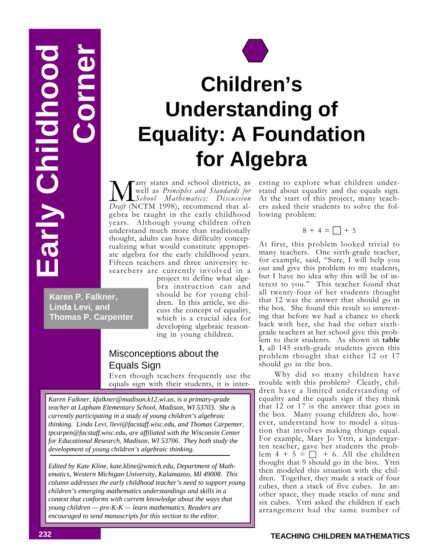**Corner Early Childhood SoonblidDV VI18** 



# **Children's Understanding of Equality: A Foundation for Algebra**

**M** any states and school districts, as<br> *Draft* (NCTM 1998), recommend that alany states and school districts, as well as *Principles and Standards for School Mathematics: Discussion* gebra be taught in the early childhood years. Although young children often understand much more than traditionally thought, adults can have difficulty conceptualizing what would constitute appropriate algebra for the early childhood years. Fifteen teachers and three university researchers are currently involved in a

**Karen P. Falkner, Linda Levi, and Thomas P. Carpenter** project to define what algebra instruction can and should be for young children. In this article, we discuss the concept of equality, which is a crucial idea for developing algebraic reasoning in young children.

# Misconceptions about the Equals Sign

Even though teachers frequently use the equals sign with their students, it is inter-

*Karen Falkner, kfalkner@madison.k12.wi.us, is a primary-grade teacher at Lapham Elementary School, Madison, WI 53703. She is currently participating in a study of young children's algebraic thinking. Linda Levi, llevi@facstaff.wisc.edu, and Thomas Carpenter, tpcarpen@facstaff.wisc.edu, are affiliated with the Wisconsin Center for Educational Research, Madison, WI 53706. They both study the development of young children's algebraic thinking.*

*Edited by Kate Kline, kate.kline@wmich.edu, Department of Mathematics, Western Michigan University, Kalamazoo, MI 49008. This column addresses the early childhood teacher's need to support young children's emerging mathematics understandings and skills in a context that conforms with current knowledge about the ways that young children — pre-K-K — learn mathematics. Readers are encouraged to send manuscripts for this section to the editor.*

esting to explore what children understand about equality and the equals sign. At the start of this project, many teachers asked their students to solve the following problem:

## $8 + 4 = \Box + 5$

At first, this problem looked trivial to many teachers. One sixth-grade teacher, for example, said, "Sure, I will help you out and give this problem to my students, but I have no idea why this will be of interest to you." This teacher found that all twenty-four of her students thought that 12 was the answer that should go in the box. She found this result so interesting that before we had a chance to check back with her, she had the other sixthgrade teachers at her school give this prob-<br>lem to their students. As shown in **table** 1, all 145 sixth-grade students given this problem thought that either 12 or 17 should go in the box.

Why did so many children have trouble with this problem? Clearly, children have a limited understanding of equality and the equals sign if they think that 12 or 17 is the answer that goes in the box. Many young children do, however, understand how to model a situation that involves making things equal. For example, Mary Jo Yttri, a kindergarten teacher, gave her students the problem  $4 + 5 = \square + 6$ . All the children thought that 9 should go in the box. Yttri then modeled this situation with the children. Together, they made a stack of four cubes, then a stack of five cubes. In another space, they made stacks of nine and six cubes. Yttri asked the children if each arrangement had the same number of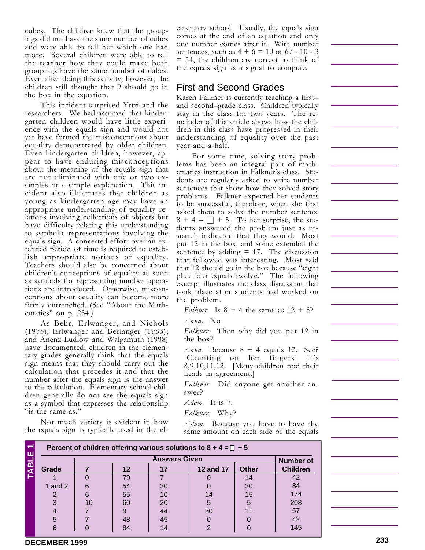cubes. The children knew that the groupings did not have the same number of cubes and were able to tell her which one had more. Several children were able to tell the teacher how they could make both groupings have the same number of cubes. Even after doing this activity, however, the children still thought that 9 should go in the box in the equation.

This incident surprised Yttri and the researchers. We had assumed that kindergarten children would have little experience with the equals sign and would not yet have formed the misconceptions about equality demonstrated by older children. Even kindergarten children, however, appear to have enduring misconceptions about the meaning of the equals sign that are not eliminated with one or two examples or a simple explanation. This incident also illustrates that children as young as kindergarten age may have an appropriate understanding of equality relations involving collections of objects but have difficulty relating this understanding to symbolic representations involving the equals sign. A concerted effort over an extended period of time is required to establish appropriate notions of equality. Teachers should also be concerned about children's conceptions of equality as soon as symbols for representing number operations are introduced. Otherwise, misconceptions about equality can become more firmly entrenched. (See "About the Mathematics" on p. 234.)

As Behr, Erlwanger, and Nichols (1975); Erlwanger and Berlanger (1983); and Anenz-Ludlow and Walgamuth (1998) have documented, children in the elementary grades generally think that the equals sign means that they should carry out the calculation that precedes it and that the number after the equals sign is the answer to the calculation. Elementary school children generally do not see the equals sign as a symbol that expresses the relationship "is the same as."

Not much variety is evident in how the equals sign is typically used in the el-

ementary school. Usually, the equals sign comes at the end of an equation and only one number comes after it. With number sentences, such as  $4 + 6 = 10$  or  $67 - 10 - 3$ = 54, the children are correct to think of the equals sign as a signal to compute.

## First and Second Grades

Karen Falkner is currently teaching a first– and second–grade class. Children typically stay in the class for two years. The remainder of this article shows how the children in this class have progressed in their understanding of equality over the past year-and-a-half.

For some time, solving story problems has been an integral part of mathematics instruction in Falkner's class. Students are regularly asked to write number sentences that show how they solved story problems. Falkner expected her students to be successful, therefore, when she first asked them to solve the number sentence  $8 + 4 = \square + 5$ . To her surprise, the students answered the problem just as research indicated that they would. Most put 12 in the box, and some extended the sentence by adding  $= 17$ . The discussion that followed was interesting. Most said that 12 should go in the box because "eight plus four equals twelve." The following excerpt illustrates the class discussion that took place after students had worked on the problem.

*Falkner.* Is  $8 + 4$  the same as  $12 + 5$ ? *Anna*. No

*Falkner*. Then why did you put 12 in the box?

*Anna*. Because 8 + 4 equals 12. See? [Counting on her fingers] It's  $8,9,10,11,12$ . [Many children nod their heads in agreement.]

*Falkner*. Did anyone get another answer?

*Adam*. It is 7.

*Falkner*. Why?

*Adam*. Because you have to have the same amount on each side of the equals

| $\overline{\phantom{0}}$ | Percent of children offering various solutions to $8 + 4 = \square + 5$ |    |    |    |                  |              |                  |
|--------------------------|-------------------------------------------------------------------------|----|----|----|------------------|--------------|------------------|
|                          | <b>Answers Given</b>                                                    |    |    |    |                  |              | <b>Number of</b> |
|                          | Grade                                                                   |    | 12 | 17 | <b>12 and 17</b> | <b>Other</b> | <b>Children</b>  |
|                          |                                                                         |    | 79 |    |                  | 14           | 42               |
|                          | 1 and $21$                                                              | 6  | 54 | 20 |                  | 20           | 84               |
|                          |                                                                         | 6  | 55 | 10 | 14               | 15           | 174              |
|                          | 3                                                                       | 10 | 60 | 20 | 5                | 5            | 208              |
|                          |                                                                         |    | 9  | 44 | 30               |              | 57               |
|                          | 5                                                                       |    | 48 | 45 |                  |              | 42               |
|                          | 6                                                                       |    | 84 | 14 |                  |              | 145              |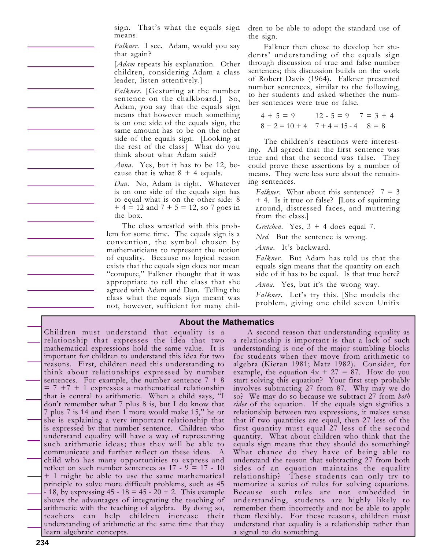sign. That's what the equals sign means.

*Falkner*. I see. Adam, would you say that again?

[*Adam* repeats his explanation. Other children, considering Adam a class leader, listen attentively.]

*Falkner*. [Gesturing at the number sentence on the chalkboard.] So, Adam, you say that the equals sign means that however much something is on one side of the equals sign, the same amount has to be on the other side of the equals sign. [Looking at the rest of the class] What do you think about what Adam said?

*Anna*. Yes, but it has to be 12, because that is what  $8 + 4$  equals.

*Dan*. No, Adam is right. Whatever is on one side of the equals sign has to equal what is on the other side: 8  $+ 4 = 12$  and  $7 + 5 = 12$ , so 7 goes in the box.

The class wrestled with this problem for some time. The equals sign is a convention, the symbol chosen by mathematicians to represent the notion of equality. Because no logical reason exists that the equals sign does not mean "compute," Falkner thought that it was appropriate to tell the class that she agreed with Adam and Dan. Telling the class what the equals sign meant was not, however, sufficient for many children to be able to adopt the standard use of the sign.

Falkner then chose to develop her students' understanding of the equals sign through discussion of true and false number sentences; this discussion builds on the work of Robert Davis (1964). Falkner presented number sentences, similar to the following, to her students and asked whether the number sentences were true or false.

$$
4 + 5 = 9
$$
  
\n $8 + 2 = 10 + 4$   
\n $7 + 4 = 15 - 4$   
\n $8 = 8$ 

The children's reactions were interesting. All agreed that the first sentence was true and that the second was false. They could prove these assertions by a number of means. They were less sure about the remaining sentences.

*Falkner*. What about this sentence?  $7 = 3$ + 4. Is it true or false? [Lots of squirming around, distressed faces, and muttering from the class.]

*Gretchen.* Yes,  $3 + 4$  does equal 7.

*Ned*. But the sentence is wrong.

*Anna*. It's backward.

*Falkner*. But Adam has told us that the equals sign means that the quantity on each side of it has to be equal. Is that true here?

*Anna*. Yes, but it's the wrong way.

*Falkner*. Let's try this. [She models the problem, giving one child seven Unifix

#### **About the Mathematics**

Children must understand that equality is a relationship that expresses the idea that two mathematical expressions hold the same value. It is important for children to understand this idea for two reasons. First, children need this understanding to think about relationships expressed by number sentences. For example, the number sentence  $7 + 8$  $= 7 + 7 + 1$  expresses a mathematical relationship that is central to arithmetic. When a child says, "I don't remember what 7 plus 8 is, but I do know that 7 plus 7 is 14 and then 1 more would make 15," he or she is explaining a very important relationship that is expressed by that number sentence. Children who understand equality will have a way of representing such arithmetic ideas; thus they will be able to communicate and further reflect on these ideas. A child who has many opportunities to express and reflect on such number sentences as  $17 - 9 = 17 - 10$ + 1 might be able to use the same mathematical principle to solve more difficult problems, such as 45  $-18$ , by expressing 45 - 18 = 45 - 20 + 2. This example shows the advantages of integrating the teaching of arithmetic with the teaching of algebra. By doing so, teachers can help children increase their understanding of arithmetic at the same time that they learn algebraic concepts.

A second reason that understanding equality as a relationship is important is that a lack of such understanding is one of the major stumbling blocks for students when they move from arithmetic to algebra (Kieran 1981; Matz 1982). Consider, for example, the equation  $4x + 27 = 87$ . How do you start solving this equation? Your first step probably involves subtracting 27 from 87. Why may we do so? We may do so because we subtract 27 from *both sides* of the equation. If the equals sign signifies a relationship between two expressions, it makes sense that if two quantities are equal, then 27 less of the first quantity must equal 27 less of the second quantity. What about children who think that the equals sign means that they should do something? What chance do they have of being able to understand the reason that subtracting 27 from both sides of an equation maintains the equality relationship? These students can only try to memorize a series of rules for solving equations. Because such rules are not embedded in understanding, students are highly likely to remember them incorrectly and not be able to apply them flexibly. For these reasons, children must understand that equality is a relationship rather than a signal to do something.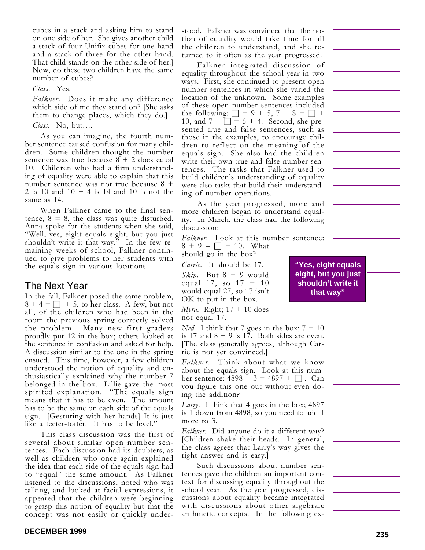cubes in a stack and asking him to stand on one side of her. She gives another child a stack of four Unifix cubes for one hand and a stack of three for the other hand. That child stands on the other side of her.] Now, do these two children have the same number of cubes?

*Class*. Yes.

*Falkner*. Does it make any difference which side of me they stand on? [She asks them to change places, which they do.]

*Class*. No, but….

As you can imagine, the fourth number sentence caused confusion for many children. Some children thought the number sentence was true because  $8 + 2$  does equal 10. Children who had a firm understanding of equality were able to explain that this number sentence was not true because 8 + 2 is 10 and  $10 + 4$  is 14 and 10 is not the same as 14.

When Falkner came to the final sentence,  $8 = 8$ , the class was quite disturbed. Anna spoke for the students when she said, "Well, yes, eight equals eight, but you just shouldn't write it that way." In the few remaining weeks of school, Falkner continued to give problems to her students with the equals sign in various locations.

## The Next Year

In the fall, Falkner posed the same problem,  $8 + 4 = \square + 5$ , to her class. A few, but not all, of the children who had been in the room the previous spring correctly solved the problem. Many new first graders proudly put 12 in the box; others looked at the sentence in confusion and asked for help. A discussion similar to the one in the spring ensued. This time, however, a few children understood the notion of equality and enthusiastically explained why the number 7 belonged in the box. Lillie gave the most spirited explanation. "The equals sign means that it has to be even. The amount has to be the same on each side of the equals sign. [Gesturing with her hands] It is just like a teeter-totter. It has to be level."

This class discussion was the first of several about similar open number sentences. Each discussion had its doubters, as well as children who once again explained the idea that each side of the equals sign had to "equal" the same amount. As Falkner listened to the discussions, noted who was talking, and looked at facial expressions, it appeared that the children were beginning to grasp this notion of equality but that the concept was not easily or quickly understood. Falkner was convinced that the notion of equality would take time for all the children to understand, and she returned to it often as the year progressed.

Falkner integrated discussion of equality throughout the school year in two ways. First, she continued to present open number sentences in which she varied the location of the unknown. Some examples of these open number sentences included the following:  $\Box = 9 + 5, 7 + 8 = \Box +$ 10, and  $7 + \square = 6 + 4$ . Second, she presented true and false sentences, such as those in the examples, to encourage children to reflect on the meaning of the equals sign. She also had the children write their own true and false number sentences. The tasks that Falkner used to build children's understanding of equality were also tasks that build their understanding of number operations.

As the year progressed, more and more children began to understand equality. In March, the class had the following discussion:

*Falkner*. Look at this number sentence:  $8 + 9 = \Box + 10$ . What

should go in the box?

*Carrie*. It should be 17. *Skip*. But  $8 + 9$  would equal 17, so 17 + 10 would equal 27, so 17 isn't OK to put in the box.

*Myra*. Right; 17 + 10 does not equal 17.

*Ned.* I think that 7 goes in the box;  $7 + 10$ is 17 and  $8 + 9$  is 17. Both sides are even. [The class generally agrees, although Carrie is not yet convinced.]

*Falkner*. Think about what we know about the equals sign. Look at this number sentence:  $4898 + 3 = 4897 + \Box$ . Can you figure this one out without even doing the addition?

*Larry*. I think that 4 goes in the box; 4897 is 1 down from 4898, so you need to add 1 more to 3.

*Falkner*. Did anyone do it a different way? [Children shake their heads. In general, the class agrees that Larry's way gives the right answer and is easy.]

Such discussions about number sentences gave the children an important context for discussing equality throughout the school year. As the year progressed, discussions about equality became integrated with discussions about other algebraic arithmetic concepts. In the following ex-

**"Yes, eight equals eight, but you just shouldn't write it that way"**